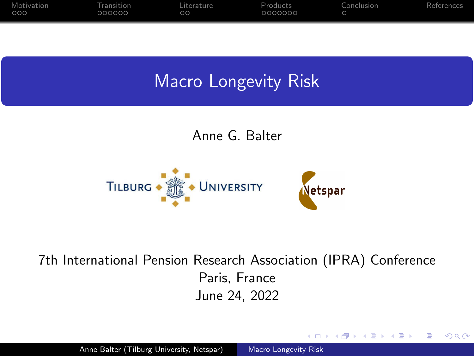<span id="page-0-0"></span>

Anne G. Balter



## 7th International Pension Research Association (IPRA) Conference Paris, France June 24, 2022

∢ロ ▶ ∢何 ▶ ∢ ヨ ▶ ∢ ヨ ▶

 $200$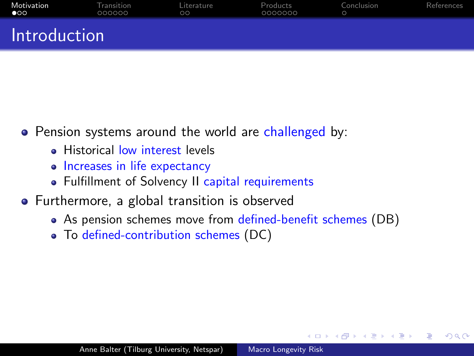<span id="page-1-0"></span>

| Motivation<br>$\bullet$ | Transition<br>000000 | Literature<br>$\circ$ | Products<br>0000000 | Conclusion | References |
|-------------------------|----------------------|-----------------------|---------------------|------------|------------|
| Introduction            |                      |                       |                     |            |            |

- Pension systems around the world are challenged by:
	- **Historical low interest levels**
	- Increases in life expectancy
	- Fulfillment of Solvency II capital requirements
- Furthermore, a global transition is observed
	- As pension schemes move from defined-benefit schemes (DB)

To defined-contribution schemes (DC)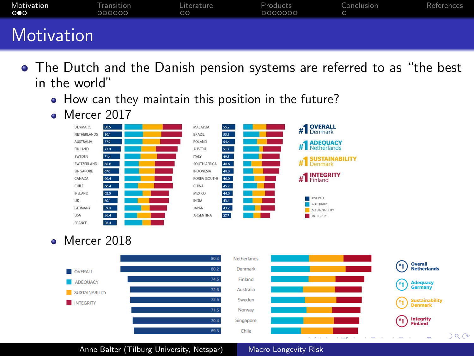<span id="page-2-0"></span>

| Motivation<br>$\circ \bullet \circ$ | Transition<br>000000 | Literature<br>$\circ$ | Products<br>0000000 | Conclusion | References |
|-------------------------------------|----------------------|-----------------------|---------------------|------------|------------|
| <b>Motivation</b>                   |                      |                       |                     |            |            |

- The Dutch and the Danish pension systems are referred to as "the best in the world"
	- How can they maintain this position in the future?
	- Mercer 2017



## Mercer 2018



Anne Balter (Tilburg University, Netspar) [Macro Longevity Risk](#page-0-0)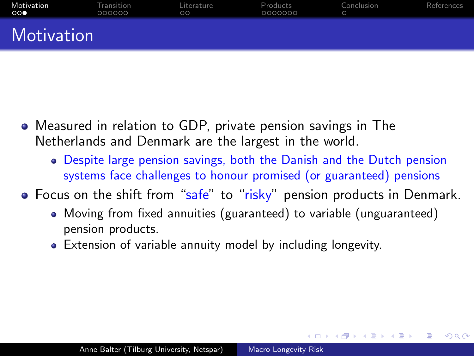<span id="page-3-0"></span>

| Motivation<br>∶੦੦● | Transition<br>000000 | Literature<br>$\circ$ | Products<br>0000000 | Conclusion | References |
|--------------------|----------------------|-----------------------|---------------------|------------|------------|
| Motivation         |                      |                       |                     |            |            |

- Measured in relation to GDP, private pension savings in The Netherlands and Denmark are the largest in the world.
	- Despite large pension savings, both the Danish and the Dutch pension systems face challenges to honour promised (or guaranteed) pensions
- Focus on the shift from "safe" to "risky" pension products in Denmark.
	- Moving from fixed annuities (guaranteed) to variable (unguaranteed) pension products.

Extension of variable annuity model by including longevity.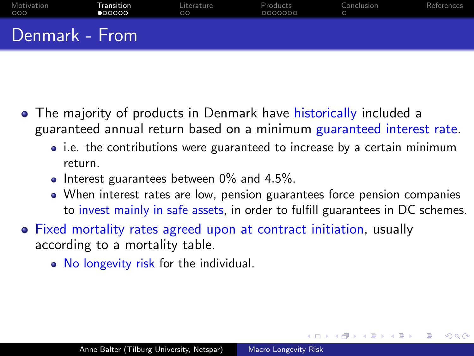<span id="page-4-0"></span>

| <b>Motivation</b><br>000 | Transition<br>000000 | Literature<br>$\circ$ | Products<br>0000000 | Conclusion | References |
|--------------------------|----------------------|-----------------------|---------------------|------------|------------|
| Denmark - From           |                      |                       |                     |            |            |

- The majority of products in Denmark have historically included a guaranteed annual return based on a minimum guaranteed interest rate.
	- i.e. the contributions were guaranteed to increase by a certain minimum return.
	- $\bullet$  Interest guarantees between 0% and 4.5%.
	- When interest rates are low, pension guarantees force pension companies to invest mainly in safe assets, in order to fulfill guarantees in DC schemes.

- Fixed mortality rates agreed upon at contract initiation, usually according to a mortality table.
	- No longevity risk for the individual.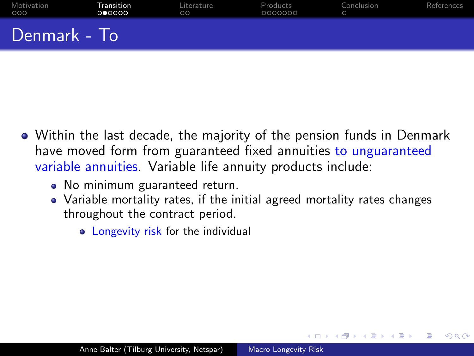<span id="page-5-0"></span>

| Motivation<br>000 | Transition<br>000000 | Literature<br>$\circ$ | Products<br>0000000 | Conclusion | References |
|-------------------|----------------------|-----------------------|---------------------|------------|------------|
| Denmark - To      |                      |                       |                     |            |            |

- Within the last decade, the majority of the pension funds in Denmark have moved form from guaranteed fixed annuities to unguaranteed variable annuities. Variable life annuity products include:
	- No minimum guaranteed return.
	- Variable mortality rates, if the initial agreed mortality rates changes throughout the contract period.

ഹൈ

• Longevity risk for the individual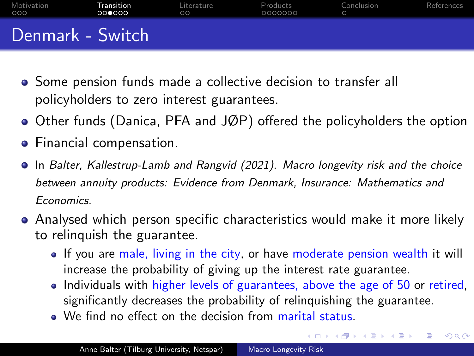<span id="page-6-0"></span>

| Motivation<br>000 | Transition<br>000000 | Literature<br>$\circ$ | Products<br>0000000 | Conclusion | References |
|-------------------|----------------------|-----------------------|---------------------|------------|------------|
| Denmark - Switch  |                      |                       |                     |            |            |

- Some pension funds made a collective decision to transfer all policyholders to zero interest guarantees.
- Other funds (Danica, PFA and JØP) offered the policyholders the option
- **•** Financial compensation.
- In Balter, Kallestrup-Lamb and Rangvid (2021). Macro longevity risk and the choice between annuity products: Evidence from Denmark, Insurance: Mathematics and Economics.
- Analysed which person specific characteristics would make it more likely to relinquish the guarantee.
	- If you are male, living in the city, or have moderate pension wealth it will increase the probability of giving up the interest rate guarantee.
	- Individuals with higher levels of guarantees, above the age of 50 or retired, significantly decreases the probability of relinquishing the guarantee.

 $200$ 

• We find no effect on the decision from marital status.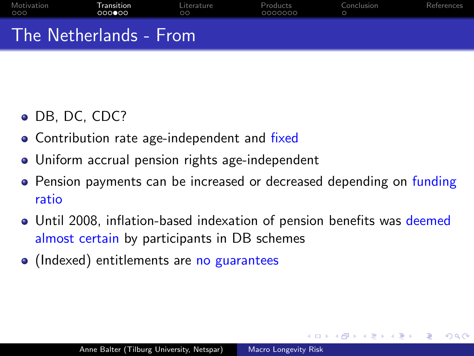<span id="page-7-0"></span>

| Motivation<br>000      | Transition<br>000000 | Literature<br>$\circ$ | Products<br>0000000 | Conclusion | References |
|------------------------|----------------------|-----------------------|---------------------|------------|------------|
| The Netherlands - From |                      |                       |                     |            |            |

- DB, DC, CDC?
- Contribution rate age-independent and fixed
- Uniform accrual pension rights age-independent
- Pension payments can be increased or decreased depending on funding ratio
- Until 2008, inflation-based indexation of pension benefits was deemed almost certain by participants in DB schemes

(Indexed) entitlements are no guarantees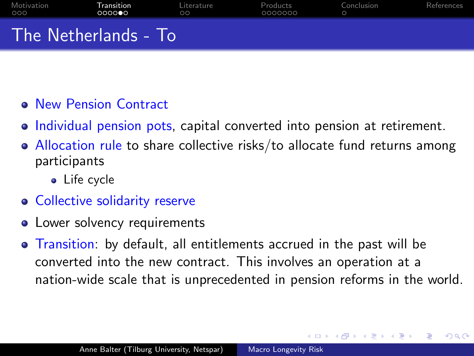<span id="page-8-0"></span>

| Motivation<br>000    | Transition<br>000000 | Literature<br>$\circ$ | Products<br>0000000 | Conclusion | References |
|----------------------|----------------------|-----------------------|---------------------|------------|------------|
| The Netherlands - To |                      |                       |                     |            |            |

- New Pension Contract
- Individual pension pots, capital converted into pension at retirement.
- Allocation rule to share collective risks/to allocate fund returns among participants
	- Life cycle
- **Collective solidarity reserve**
- Lower solvency requirements
- Transition: by default, all entitlements accrued in the past will be converted into the new contract. This involves an operation at a nation-wide scale that is unprecedented in pension reforms in the world.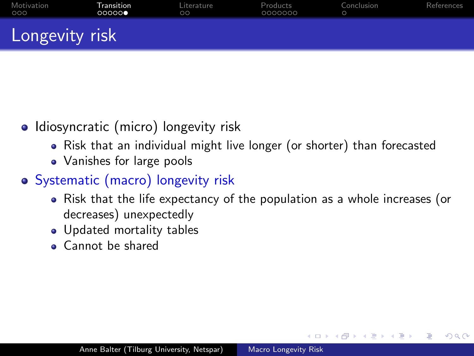<span id="page-9-0"></span>

| Motivation<br>000 | Transition<br>00000 | Literature<br>$\circ$ | Products<br>0000000 | Conclusion | References |
|-------------------|---------------------|-----------------------|---------------------|------------|------------|
| Longevity risk    |                     |                       |                     |            |            |

- Idiosyncratic (micro) longevity risk
	- Risk that an individual might live longer (or shorter) than forecasted
	- Vanishes for large pools
- Systematic (macro) longevity risk
	- Risk that the life expectancy of the population as a whole increases (or decreases) unexpectedly

- Updated mortality tables
- Cannot be shared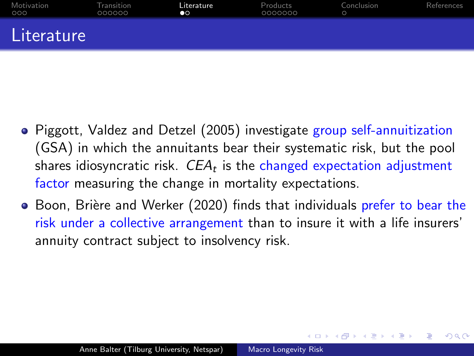<span id="page-10-0"></span>

| Motivation<br>000 | Transition<br>000000 | Literature<br>$\bullet\circ$ | Products<br>0000000 | Conclusion | References |
|-------------------|----------------------|------------------------------|---------------------|------------|------------|
| Literature        |                      |                              |                     |            |            |

- Piggott, Valdez and Detzel (2005) investigate group self-annuitization (GSA) in which the annuitants bear their systematic risk, but the pool shares idiosyncratic risk.  $\mathit{CEA}_t$  is the changed expectation adjustment factor measuring the change in mortality expectations.
- Boon, Brière and Werker (2020) finds that individuals prefer to bear the risk under a collective arrangement than to insure it with a life insurers' annuity contract subject to insolvency risk.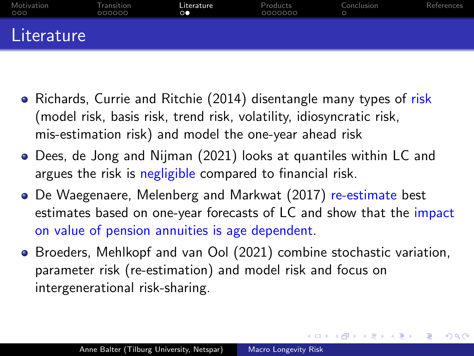<span id="page-11-0"></span>

| Motivation<br>000 | Transition<br>000000 | Literature<br>$\circ\bullet$ | Products<br>0000000 | Conclusion | References |
|-------------------|----------------------|------------------------------|---------------------|------------|------------|
| Literature        |                      |                              |                     |            |            |

- Richards, Currie and Ritchie (2014) disentangle many types of risk (model risk, basis risk, trend risk, volatility, idiosyncratic risk, mis-estimation risk) and model the one-year ahead risk
- Dees, de Jong and Nijman (2021) looks at quantiles within LC and argues the risk is negligible compared to financial risk.
- De Waegenaere, Melenberg and Markwat (2017) re-estimate best estimates based on one-year forecasts of LC and show that the impact on value of pension annuities is age dependent.
- **Broeders, Mehlkopf and van Ool (2021) combine stochastic variation,** parameter risk (re-estimation) and model risk and focus on intergenerational risk-sharing.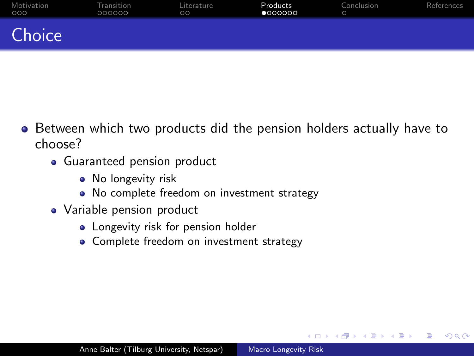<span id="page-12-0"></span>

| Motivation<br>000 | Transition<br>000000 | Literature<br>$\circ$ | Products<br>0000000 | Conclusion | References |
|-------------------|----------------------|-----------------------|---------------------|------------|------------|
| Choice            |                      |                       |                     |            |            |

- Between which two products did the pension holders actually have to choose?
	- Guaranteed pension product
		- No longevity risk
		- No complete freedom on investment strategy
	- Variable pension product
		- **•** Longevity risk for pension holder
		- Complete freedom on investment strategy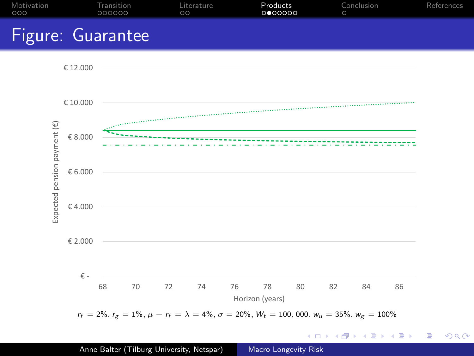<span id="page-13-0"></span>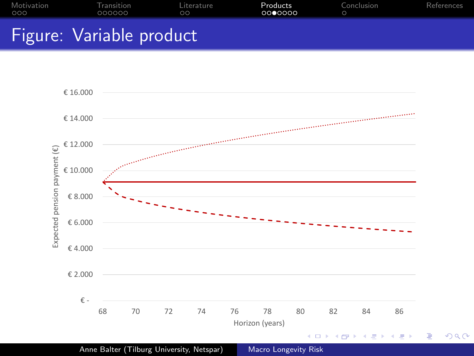<span id="page-14-0"></span>



 $299$ 

准

Anne Balter (Tilburg University, Netspar) [Macro Longevity Risk](#page-0-0)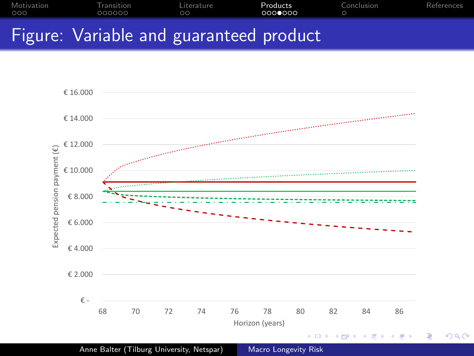<span id="page-15-0"></span>



Anne Balter (Tilburg University, Netspar) [Macro Longevity Risk](#page-0-0)

つくへ

∍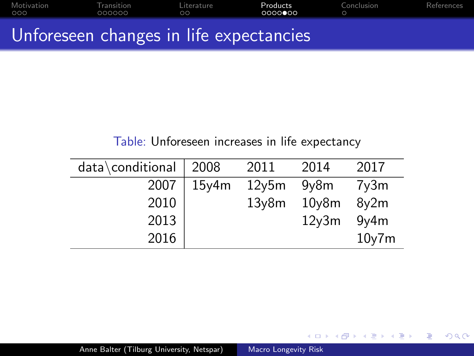<span id="page-16-0"></span>[Motivation](#page-1-0) [Transition](#page-4-0) [Literature](#page-10-0) [Products](#page-12-0) [Conclusion](#page-19-0) [References](#page-20-0)

## Unforeseen changes in life expectancies

## Table: Unforeseen increases in life expectancy

| data\conditional | 2008  | 2011               | 2014               | 2017              |
|------------------|-------|--------------------|--------------------|-------------------|
| 2007             | 15y4m | 12y5m              | 9 <sub>V</sub> 8m  | 7y3m              |
| 2010             |       | 13 <sub>V</sub> 8m | 10 <sub>V</sub> 8m | 8 <sub>y</sub> 2m |
| 2013             |       |                    | 12 <sub>V</sub> 3m | 9y4m              |
| 2016             |       |                    |                    | $10y$ 7m          |

4日)

**K 何 ▶ 【三** 

 $299$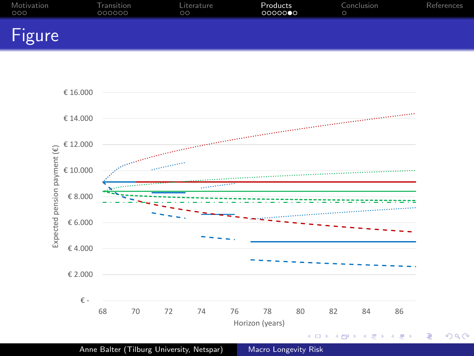<span id="page-17-0"></span>

| Motivation | <b>Transition</b> | Literature | Products | Conclusion | References |
|------------|-------------------|------------|----------|------------|------------|
| 000        | 000000            | <b>OO</b>  | 0000000  | $\circ$    |            |
| Figure     |                   |            |          |            |            |



Anne Balter (Tilburg University, Netspar) [Macro Longevity Risk](#page-0-0)

 $299$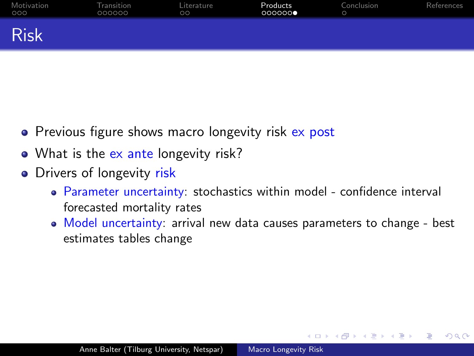<span id="page-18-0"></span>

| Motivation<br>000 | Transition<br>000000 | Literature<br>$\circ$ | Products<br>000000 | Conclusion | References |
|-------------------|----------------------|-----------------------|--------------------|------------|------------|
| <b>Risk</b>       |                      |                       |                    |            |            |

- Previous figure shows macro longevity risk ex post
- What is the ex ante longevity risk?
- Drivers of longevity risk
	- Parameter uncertainty: stochastics within model confidence interval forecasted mortality rates
	- Model uncertainty: arrival new data causes parameters to change best estimates tables change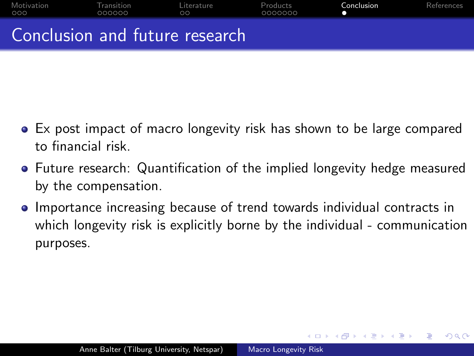<span id="page-19-0"></span>

- Ex post impact of macro longevity risk has shown to be large compared to financial risk.
- Future research: Quantification of the implied longevity hedge measured by the compensation.
- Importance increasing because of trend towards individual contracts in  $\bullet$ which longevity risk is explicitly borne by the individual - communication purposes.